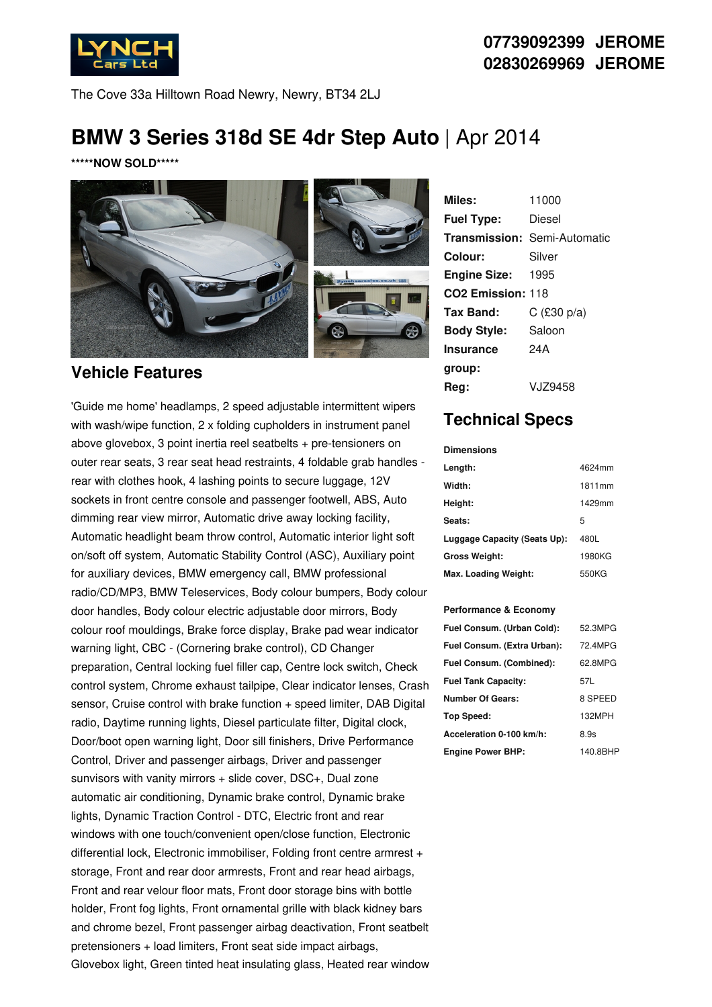

**07739092399 JEROME 02830269969 JEROME**

The Cove 33a Hilltown Road Newry, Newry, BT34 2LJ

# **BMW 3 Series 318d SE 4dr Step Auto** | Apr 2014

**\*\*\*\*\*NOW SOLD\*\*\*\*\***



### **Vehicle Features**

'Guide me home' headlamps, 2 speed adjustable intermittent wipers with wash/wipe function, 2 x folding cupholders in instrument panel above glovebox, 3 point inertia reel seatbelts + pre-tensioners on outer rear seats, 3 rear seat head restraints, 4 foldable grab handles rear with clothes hook, 4 lashing points to secure luggage, 12V sockets in front centre console and passenger footwell, ABS, Auto dimming rear view mirror, Automatic drive away locking facility, Automatic headlight beam throw control, Automatic interior light soft on/soft off system, Automatic Stability Control (ASC), Auxiliary point for auxiliary devices, BMW emergency call, BMW professional radio/CD/MP3, BMW Teleservices, Body colour bumpers, Body colour door handles, Body colour electric adjustable door mirrors, Body colour roof mouldings, Brake force display, Brake pad wear indicator warning light, CBC - (Cornering brake control), CD Changer preparation, Central locking fuel filler cap, Centre lock switch, Check control system, Chrome exhaust tailpipe, Clear indicator lenses, Crash sensor, Cruise control with brake function + speed limiter, DAB Digital radio, Daytime running lights, Diesel particulate filter, Digital clock, Door/boot open warning light, Door sill finishers, Drive Performance Control, Driver and passenger airbags, Driver and passenger sunvisors with vanity mirrors + slide cover, DSC+, Dual zone automatic air conditioning, Dynamic brake control, Dynamic brake lights, Dynamic Traction Control - DTC, Electric front and rear windows with one touch/convenient open/close function, Electronic differential lock, Electronic immobiliser, Folding front centre armrest + storage, Front and rear door armrests, Front and rear head airbags, Front and rear velour floor mats, Front door storage bins with bottle holder, Front fog lights, Front ornamental grille with black kidney bars and chrome bezel, Front passenger airbag deactivation, Front seatbelt pretensioners + load limiters, Front seat side impact airbags, Glovebox light, Green tinted heat insulating glass, Heated rear window

| Miles:                        | 11000                               |
|-------------------------------|-------------------------------------|
| <b>Fuel Type:</b>             | Diesel                              |
|                               | <b>Transmission: Semi-Automatic</b> |
| Colour:                       | Silver                              |
| <b>Engine Size: 1995</b>      |                                     |
| CO <sub>2</sub> Emission: 118 |                                     |
| Tax Band:                     | $C$ (£30 p/a)                       |
| <b>Body Style:</b>            | Saloon                              |
| <b>Insurance</b>              | 24A                                 |
| group:                        |                                     |
| Rea:                          | V.JZ9458                            |

### **Technical Specs**

#### **Dimensions**

| Length:                      | 4624mm |
|------------------------------|--------|
| Width:                       | 1811mm |
| Height:                      | 1429mm |
| Seats:                       | 5      |
| Luggage Capacity (Seats Up): | 480L   |
| <b>Gross Weight:</b>         | 1980KG |
| Max. Loading Weight:         | 550KG  |

#### **Performance & Economy**

| Fuel Consum. (Urban Cold):  | 52.3MPG  |
|-----------------------------|----------|
| Fuel Consum. (Extra Urban): | 72.4MPG  |
| Fuel Consum. (Combined):    | 62.8MPG  |
| <b>Fuel Tank Capacity:</b>  | 57L      |
| <b>Number Of Gears:</b>     | 8 SPEED  |
| Top Speed:                  | 132MPH   |
| Acceleration 0-100 km/h:    | 8.9s     |
| <b>Engine Power BHP:</b>    | 140.8BHP |